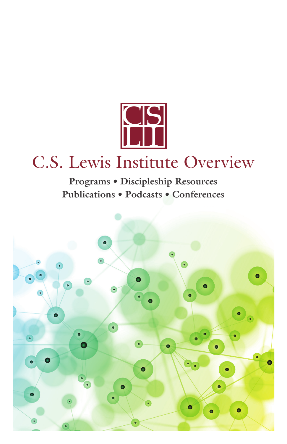

# C.S. Lewis Institute Overview

**Programs • Discipleship Resources Publications • Podcasts • Conferences**

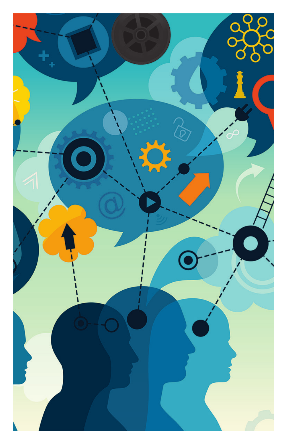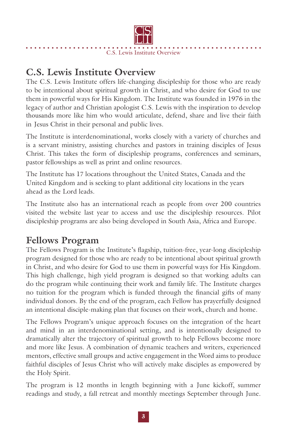

# **C.S. Lewis Institute Overview**

The C.S. Lewis Institute offers life-changing discipleship for those who are ready to be intentional about spiritual growth in Christ, and who desire for God to use them in powerful ways for His Kingdom. The Institute was founded in 1976 in the legacy of author and Christian apologist C.S. Lewis with the inspiration to develop thousands more like him who would articulate, defend, share and live their faith in Jesus Christ in their personal and public lives.

The Institute is interdenominational, works closely with a variety of churches and is a servant ministry, assisting churches and pastors in training disciples of Jesus Christ. This takes the form of discipleship programs, conferences and seminars, pastor fellowships as well as print and online resources.

The Institute has 17 locations throughout the United States, Canada and the United Kingdom and is seeking to plant additional city locations in the years ahead as the Lord leads.

The Institute also has an international reach as people from over 200 countries visited the website last year to access and use the discipleship resources. Pilot discipleship programs are also being developed in South Asia, Africa and Europe.

### **Fellows Program**

The Fellows Program is the Institute's flagship, tuition-free, year-long discipleship program designed for those who are ready to be intentional about spiritual growth in Christ, and who desire for God to use them in powerful ways for His Kingdom. This high challenge, high yield program is designed so that working adults can do the program while continuing their work and family life. The Institute charges no tuition for the program which is funded through the financial gifts of many individual donors. By the end of the program, each Fellow has prayerfully designed an intentional disciple-making plan that focuses on their work, church and home.

The Fellows Program's unique approach focuses on the integration of the heart and mind in an interdenominational setting, and is intentionally designed to dramatically alter the trajectory of spiritual growth to help Fellows become more and more like Jesus. A combination of dynamic teachers and writers, experienced mentors, effective small groups and active engagement in the Word aims to produce faithful disciples of Jesus Christ who will actively make disciples as empowered by the Holy Spirit.

The program is 12 months in length beginning with a June kickoff, summer readings and study, a fall retreat and monthly meetings September through June.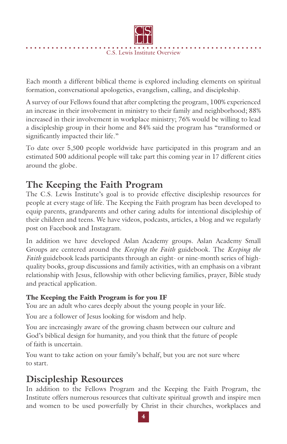

Each month a different biblical theme is explored including elements on spiritual formation, conversational apologetics, evangelism, calling, and discipleship.

A survey of our Fellows found that after completing the program, 100% experienced an increase in their involvement in ministry to their family and neighborhood; 88% increased in their involvement in workplace ministry; 76% would be willing to lead a discipleship group in their home and 84% said the program has "transformed or significantly impacted their life."

To date over 5,500 people worldwide have participated in this program and an estimated 500 additional people will take part this coming year in 17 different cities around the globe.

### **The Keeping the Faith Program**

The C.S. Lewis Institute's goal is to provide effective discipleship resources for people at every stage of life. The Keeping the Faith program has been developed to equip parents, grandparents and other caring adults for intentional discipleship of their children and teens. We have videos, podcasts, articles, a blog and we regularly post on Facebook and Instagram.

In addition we have developed Aslan Academy groups. Aslan Academy Small Groups are centered around the *Keeping the Faith* guidebook. The *Keeping the Faith* guidebook leads participants through an eight- or nine-month series of highquality books, group discussions and family activities, with an emphasis on a vibrant relationship with Jesus, fellowship with other believing families, prayer, Bible study and practical application.

#### The Keeping the Faith Program is for you IF

You are an adult who cares deeply about the young people in your life.

You are a follower of Jesus looking for wisdom and help.

You are increasingly aware of the growing chasm between our culture and God's biblical design for humanity, and you think that the future of people of faith is uncertain.

You want to take action on your family's behalf, but you are not sure where to start.

# **Discipleship Resources**

In addition to the Fellows Program and the Keeping the Faith Program, the Institute offers numerous resources that cultivate spiritual growth and inspire men and women to be used powerfully by Christ in their churches, workplaces and

4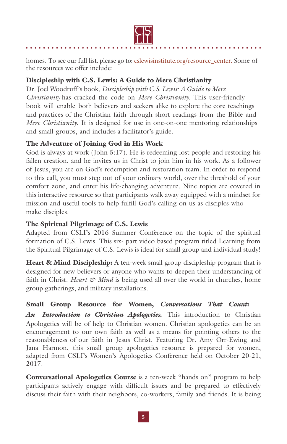

homes. To see our full list, please go to[: cslewisinstitute.org/resource\\_center.](https://www.cslewisinstitute.org/Resource_Center) Some of the resources we offer include:

#### Discipleship with C.S. Lewis: A Guide to Mere Christianity

Dr. Joel Woodruff's book, *Discipleship with C.S. Lewis: A Guide to Mere Christianity* has cracked the code on *Mere Christianity.* This user-friendly book will enable both believers and seekers alike to explore the core teachings and practices of the Christian faith through short readings from the Bible and *Mere Christianity.* It is designed for use in one-on-one mentoring relationships and small groups, and includes a facilitator's guide.

#### The Adventure of Joining God in His Work

God is always at work (John 5:17). He is redeeming lost people and restoring his fallen creation, and he invites us in Christ to join him in his work. As a follower of Jesus, you are on God's redemption and restoration team. In order to respond to this call, you must step out of your ordinary world, over the threshold of your comfort zone, and enter his life-changing adventure. Nine topics are covered in this interactive resource so that participants walk away equipped with a mindset for mission and useful tools to help fulfill God's calling on us as disciples who make disciples.

#### The Spiritual Pilgrimage of C.S. Lewis

Adapted from CSLI's 2016 Summer Conference on the topic of the spiritual formation of C.S. Lewis. This six- part video based program titled Learning from the Spiritual Pilgrimage of C.S. Lewis is ideal for small group and individual study!

**Heart & Mind Discipleship:** A ten-week small group discipleship program that is designed for new believers or anyone who wants to deepen their understanding of faith in Christ. *Heart*  $\mathfrak{S}$  *Mind* is being used all over the world in churches, home group gatherings, and military installations.

#### Small Group Resource for Women, *Conversations That Count:*

*An Introduction to Christian Apologetics.* This introduction to Christian Apologetics will be of help to Christian women. Christian apologetics can be an encouragement to our own faith as well as a means for pointing others to the reasonableness of our faith in Jesus Christ. Featuring Dr. Amy Orr-Ewing and Jana Harmon, this small group apologetics resource is prepared for women, adapted from CSLI's Women's Apologetics Conference held on October 20-21, 2017.

Conversational Apologetics Course is a ten-week "hands on" program to help participants actively engage with difficult issues and be prepared to effectively discuss their faith with their neighbors, co-workers, family and friends. It is being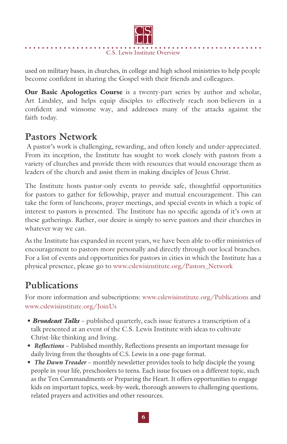

used on military bases, in churches, in college and high school ministries to help people become confident in sharing the Gospel with their friends and colleagues.

Our Basic Apologetics Course is a twenty-part series by author and scholar, Art Lindsley, and helps equip disciples to effectively reach non-believers in a confident and winsome way, and addresses many of the attacks against the faith today.

### **Pastors Network**

 A pastor's work is challenging, rewarding, and often lonely and under-appreciated. From its inception, the Institute has sought to work closely with pastors from a variety of churches and provide them with resources that would encourage them as leaders of the church and assist them in making disciples of Jesus Christ.

The Institute hosts pastor-only events to provide safe, thoughtful opportunities for pastors to gather for fellowship, prayer and mutual encouragement. This can take the form of luncheons, prayer meetings, and special events in which a topic of interest to pastors is presented. The Institute has no specific agenda of it's own at these gatherings. Rather, our desire is simply to serve pastors and their churches in whatever way we can.

As the Institute has expanded in recent years, we have been able to offer ministries of encouragement to pastors more personally and directly through our local branches. For a list of events and opportunities for pastors in cities in which the Institute has a physical presence, please go to www.cslewisinstitute.org/Pastors\_Network

# **Publications**

For more information and subscriptions: www.cslewisinstitute.org/Publications and www.cslewisinstitute.org/JoinUs

- *Broadcast Talks* published quarterly, each issue features a transcription of a talk presented at an event of the C.S. Lewis Institute with ideas to cultivate Christ-like thinking and living.
- *Reflections* Published monthly, Reflections presents an important message for daily living from the thoughts of C.S. Lewis in a one-page format.
- *The Dawn Treader*  monthly newsletter provides tools to help disciple the young people in your life, preschoolers to teens. Each issue focuses on a different topic, such as the Ten Commandments or Preparing the Heart. It offers opportunities to engage kids on important topics, week-by-week, thorough answers to challenging questions, related prayers and activities and other resources.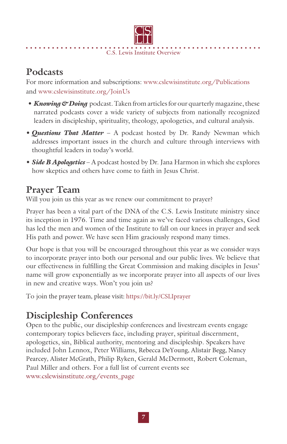

# **Podcasts**

For more information and subscriptions: www.cslewisinstitute.org/Publications and www.cslewisinstitute.org/JoinUs

- *Knowing & Doing* podcast. Taken from articles for our quarterly magazine, these narrated podcasts cover a wide variety of subjects from nationally recognized leaders in discipleship, spirituality, theology, apologetics, and cultural analysis.
- *Questions That Matter* A podcast hosted by Dr. Randy Newman which addresses important issues in the church and culture through interviews with thoughtful leaders in today's world.
- *Side B Apologetics*  A podcast hosted by Dr. Jana Harmon in which she explores how skeptics and others have come to faith in Jesus Christ.

### **Prayer Team**

Will you join us this year as we renew our commitment to prayer?

Prayer has been a vital part of the DNA of the C.S. Lewis Institute ministry since its inception in 1976. Time and time again as we've faced various challenges, God has led the men and women of the Institute to fall on our knees in prayer and seek His path and power. We have seen Him graciously respond many times.

Our hope is that you will be encouraged throughout this year as we consider ways to incorporate prayer into both our personal and our public lives. We believe that our effectiveness in fulfilling the Great Commission and making disciples in Jesus' name will grow exponentially as we incorporate prayer into all aspects of our lives in new and creative ways. Won't you join us?

To join the prayer team, please visit: https://bit.ly/CSLIprayer

# **Discipleship Conferences**

Open to the public, our discipleship conferences and livestream events engage contemporary topics believers face, including prayer, spiritual discernment, apologetics, sin, Biblical authority, mentoring and discipleship. Speakers have included John Lennox, Peter Williams, Rebecca DeYoung, Alistair Begg, Nancy Pearcey, Alister McGrath, Philip Ryken, Gerald McDermott, Robert Coleman, Paul Miller and others. For a full list of current events see www.cslewisinstitute.org/events\_page